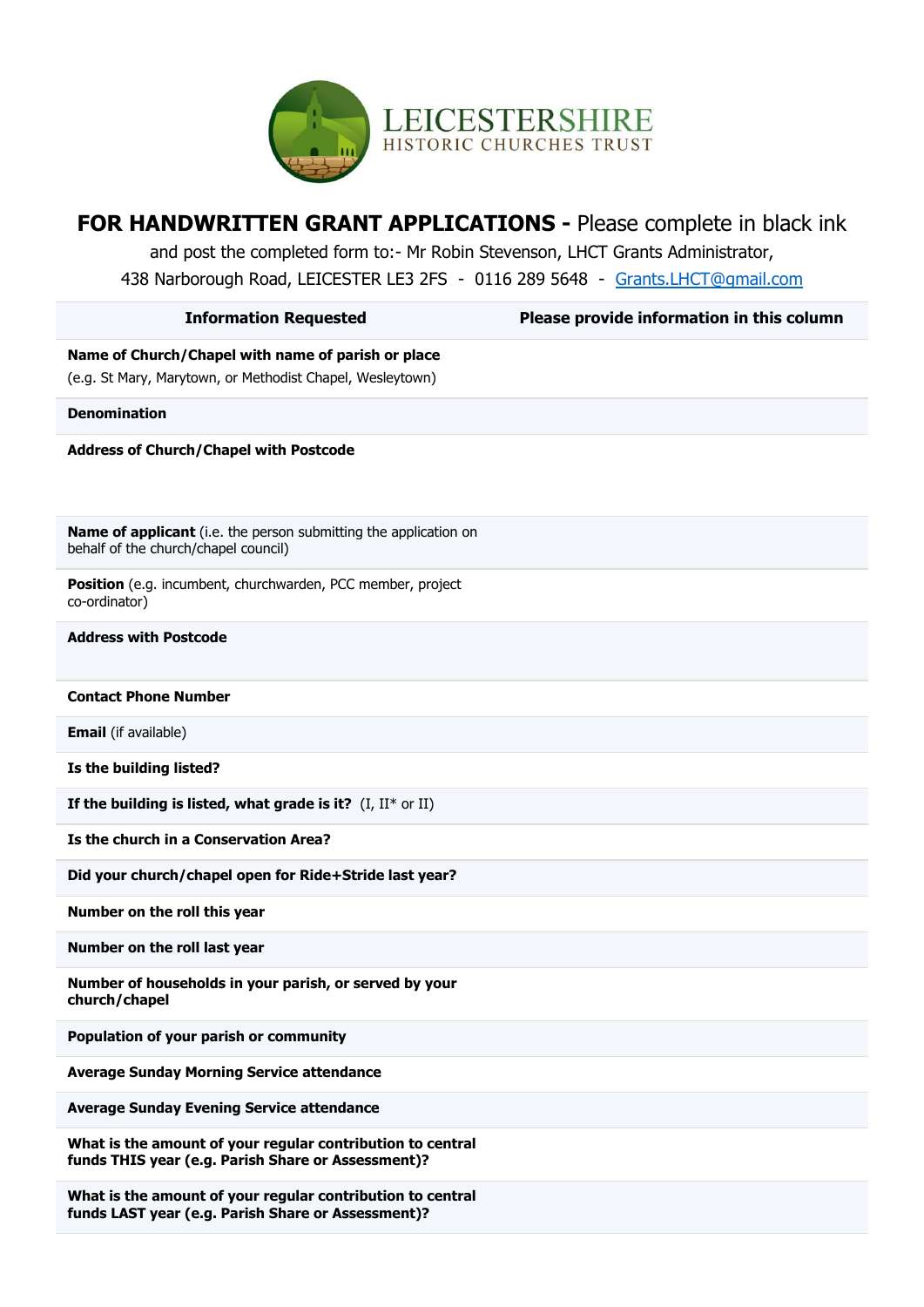

| <b>FOR HANDWRITTEN GRANT APPLICATIONS - Please complete in black ink</b><br>and post the completed form to:- Mr Robin Stevenson, LHCT Grants Administrator,<br>438 Narborough Road, LEICESTER LE3 2FS - 0116 289 5648 - Grants.LHCT@qmail.com |                                           |
|-----------------------------------------------------------------------------------------------------------------------------------------------------------------------------------------------------------------------------------------------|-------------------------------------------|
| <b>Information Requested</b>                                                                                                                                                                                                                  | Please provide information in this column |
| Name of Church/Chapel with name of parish or place<br>(e.g. St Mary, Marytown, or Methodist Chapel, Wesleytown)                                                                                                                               |                                           |
| <b>Denomination</b>                                                                                                                                                                                                                           |                                           |
| <b>Address of Church/Chapel with Postcode</b>                                                                                                                                                                                                 |                                           |
| Name of applicant (i.e. the person submitting the application on<br>behalf of the church/chapel council)                                                                                                                                      |                                           |
| Position (e.g. incumbent, churchwarden, PCC member, project<br>co-ordinator)                                                                                                                                                                  |                                           |
| <b>Address with Postcode</b>                                                                                                                                                                                                                  |                                           |
| <b>Contact Phone Number</b>                                                                                                                                                                                                                   |                                           |
| <b>Email</b> (if available)                                                                                                                                                                                                                   |                                           |
| Is the building listed?                                                                                                                                                                                                                       |                                           |
| If the building is listed, what grade is it? $(I, II^* \text{ or } II)$                                                                                                                                                                       |                                           |
| Is the church in a Conservation Area?                                                                                                                                                                                                         |                                           |
| Did your church/chapel open for Ride+Stride last year?                                                                                                                                                                                        |                                           |
| Number on the roll this year                                                                                                                                                                                                                  |                                           |
| Number on the roll last year                                                                                                                                                                                                                  |                                           |
| Number of households in your parish, or served by your<br>church/chapel                                                                                                                                                                       |                                           |
| Population of your parish or community                                                                                                                                                                                                        |                                           |
| <b>Average Sunday Morning Service attendance</b>                                                                                                                                                                                              |                                           |
| <b>Average Sunday Evening Service attendance</b>                                                                                                                                                                                              |                                           |
| What is the amount of your regular contribution to central<br>funds THIS year (e.g. Parish Share or Assessment)?                                                                                                                              |                                           |
| What is the amount of your regular contribution to central<br>funds LAST year (e.g. Parish Share or Assessment)?                                                                                                                              |                                           |